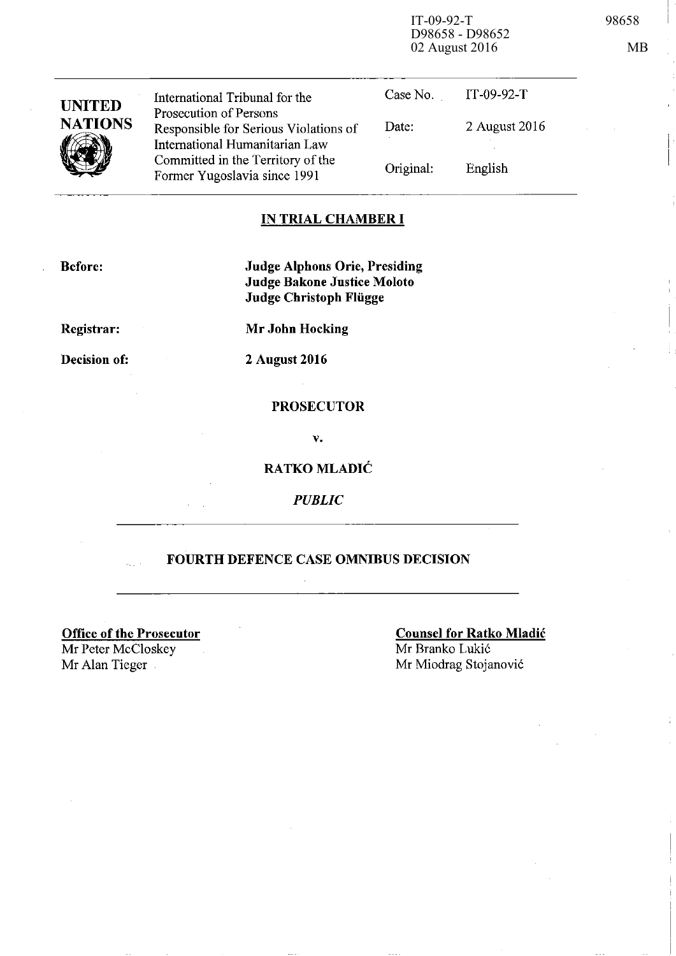IT-09-92-T 98658 D98658 - D98652 02 August 2016 MB

| <b>UNITED</b>  | International Tribunal for the                                                                    | Case No.  | IT-09-92-T    |
|----------------|---------------------------------------------------------------------------------------------------|-----------|---------------|
| <b>NATIONS</b> | Prosecution of Persons<br>Responsible for Serious Violations of<br>International Humanitarian Law | Date:     | 2 August 2016 |
|                | Committed in the Territory of the<br>Former Yugoslavia since 1991                                 | Original: | English       |

### **IN TRIAL CHAMBER I**

**Before:** 

**Judge Alphons Orie, Presiding Judge Bakone Justice Moloto Judge Christoph Fliigge** 

**Registrar:** 

**Mr John Hocking** 

**Decision of:** 

**2 August 2016** 

### **PROSECUTOR**

v.

### **RATKO MLADIC**

*PUBLIC* 

### **FOURTH DEFENCE CASE OMNIBUS DECISION**

**Office of the Prosecutor**  Mr Peter McCloskey Mr Alan Tieger Mr Miodrag Stojanović

**Counsel for Ratko Mladic**  Mr Branko Lukić

I I

> I I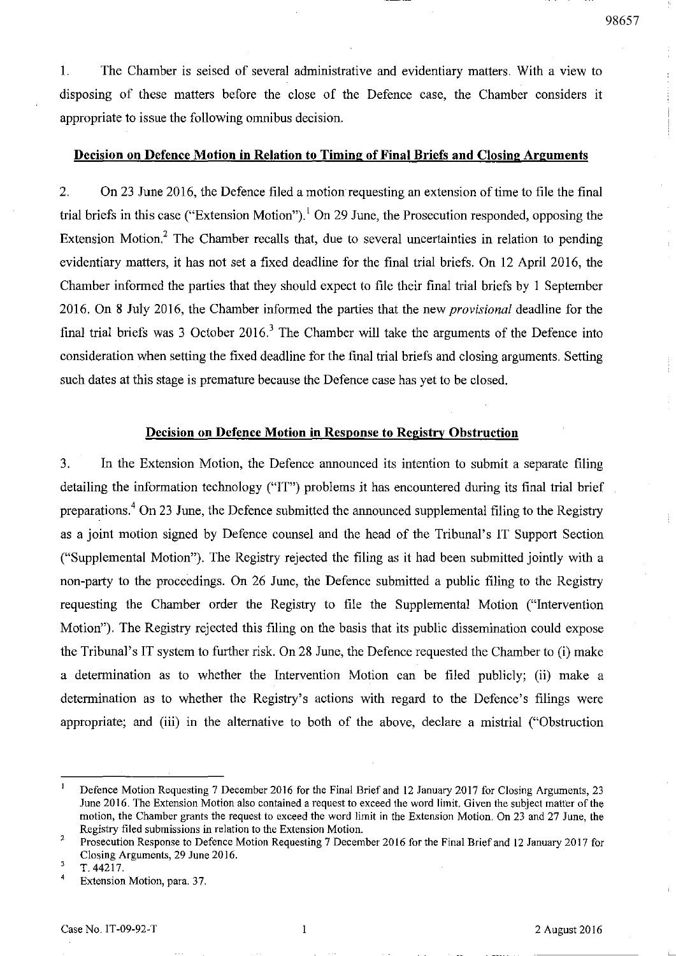1. The Chamber is seised of several administrative and evidentiary matters. With a view to disposing of these matters before the close of the Defence case, the Chamber considers it appropriate to issue the following omnibus decision.

### **Decision on Defence Motion in Relation to Timing of Final Briefs and Closing Arguments**

2. On 23 June 2016, the Defence filed a motion requesting an extension of time to file the final trial briefs in this case ("Extension Motion").<sup>1</sup> On 29 June, the Prosecution responded, opposing the Extension Motion.<sup>2</sup> The Chamber recalls that, due to several uncertainties in relation to pending evidentiary matters, it has not set a fixed deadline for the final trial briefs. On 12 April 2016, the Chamber informed the parties that they should expect to file their final trial briefs by 1 September 2016. On 8 July 2016, the Chamber informed the parties that the new *provisional* deadline for the final trial briefs was 3 October 2016.<sup>3</sup> The Chamber will take the arguments of the Defence into consideration when setting the fixed deadline for the final trial briefs and closing arguments. Setting such dates at this stage is premature because the Defence case has yet to be closed.

### **Decision on Defence Motion in Response to Registry Obstruction**

3. In the Extension Motion, the Defence announced its intention to submit a separate filing detailing the information technology ("IT") problems it has encountered during its final trial brief preparations.4 On 23 June, the Defence submitted the announced supplemental filing to the Registry as a joint motion signed by Defence counsel and the head of the Tribunal's **IT** Support Section ("Supplemental Motion"). The Registry rejected the filing as it had been submitted jointly with a non-party to the proceedings. On 26 June, the Defence submitted a public filing to the Registry requesting the Chamber order the Registry to file the Supplemental Motion ("Intervention Motion"). The Registry rejected this filing on the basis that its public dissemination could expose the Tribunal's IT system to further risk. On 28 June, the Defence requested the Chamber to (i) make a determination as to whether the Intervention Motion can be filed publicly; (ii) make a determination as to whether the Registry's actions with regard to the Defence's filings were appropriate; and (iii) in the alternative to both of the above, declare a mistrial ("Obstruction

Defence Motion Requesting 7 December 2016 for the Final Brief and 12 January 2017 for Closing Arguments, 23 June 2016. The Extension Motion also contained a request to exceed the word limit. Given the subject matter of the motion, the Chamber grants the request to exceed the word limit in the Extension Motion. On 23 and 27 June, the Registry filed submissions in relation to the Extension Motion.

<sup>2</sup>  Prosecution Response to Defence Motion Requesting 7 December 2016 for the Final Brief and 12 January 2017 for Closing Arguments, 29 June 2016.

<sup>3</sup> T.44217.

 $\overline{\mathbf{4}}$ **Extension Motion, para. 37.**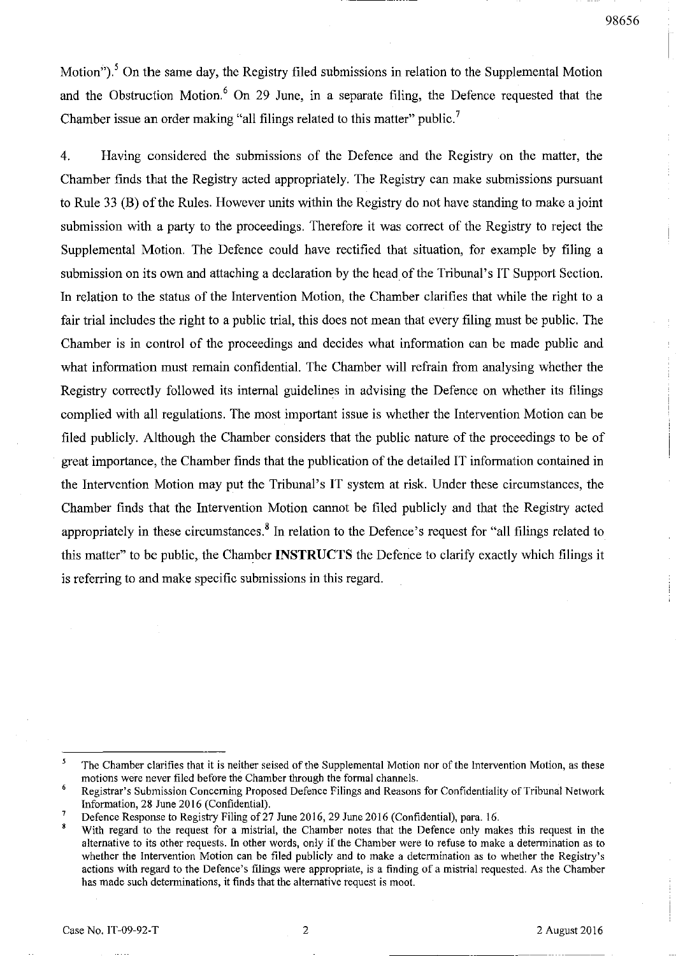98656

Motion").<sup>5</sup> On the same day, the Registry filed submissions in relation to the Supplemental Motion and the Obstruction Motion.<sup>6</sup> On 29 June, in a separate filing, the Defence requested that the Chamber issue an order making "all filings related to this matter" public.<sup>7</sup>

4. Having considered the submissions of the Defence and the Registry on the matter, the Chamber finds that the Registry acted appropriately. The Registry can make submissions pursuant to Rule 33 (B) of the Rules. However units within the Registry do not have standing to make a joint submission with a party to the proceedings. Therefore it was correct of the Registry to reject the Supplemental Motion. The Defence could have rectified that situation, for example by filing a submission on its own and attaching a declaration by the head of the Tribunal's IT Support Section. In relation to the status of the Intervention Motion, the Chamber clarifies that while the right to a fair trial includes the right to a public trial, this does not mean that every filing must be public. The Chamber is in control of the proceedings and decides what information can be made public and what information must remain confidential. The Chamber will refrain from analysing whether the Registry correctly followed its internal guidelines in advising the Defence on whether its filings complied with all regulations. The most important issue is whether the Intervention Motion can be filed publicly. Although the Chamber considers that the public nature of the proceedings to be of great importance, the Chamber finds that the publication of the detailed IT information contained in the Intervention Motion may put the Tribunal's IT system at risk. Under these circumstances, the Chamber finds that the Intervention Motion carmot be filed publicly and that the Registry acted appropriately in these circumstances.<sup>8</sup> In relation to the Defence's request for "all filings related to this matter" to be public, the Chamber **INSTRUCTS** the Defence to clarify exactly which filings it is referring to and make specific submissions in this regard.

<sup>5</sup> The Chamber clarifies that it is neither seised of the Supplemental Motion nor of the Intervention Motion, as these motions were never filed before the Chamber through the formal channels.

<sup>6</sup> Registrar's Submission Concerning Proposed Defence Filings and Reasons for Confidentiality of Tribunal Network Information, 28 June 2016 (Confidential).

Defence Response to Registry Filing of 27 June 2016, 29 June 2016 (Confidential), para. 16.

With regard to the request for a mistrial, the Chamber notes that the Defence only makes this request in the alternative to its other requests. In other words, only if the Chamber were to refuse to make a determination as to whether the Intervention Motion can be filed publicly and to make a determination as to whether the Registry's actions with regard to the Defence's filings were appropriate, is a finding of a mistrial requested. As the Chamber **has made such determinations, it finds that the alternative request is moot.**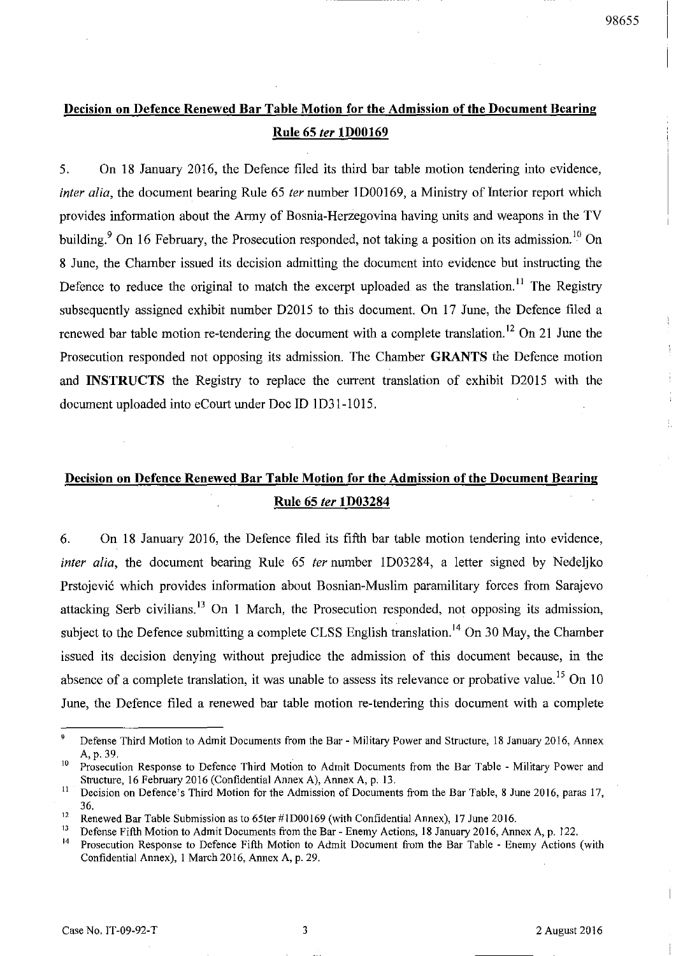## **Decision on Defence Renewed Bar Table Motion for the Admission of the Document Bearing Rule 65** fer **lD00169**

5. On 18 January 2016, the Defence filed its third bar table motion tendering into evidence, inter alia, the document bearing Rule 65 ter number 1D00169, a Ministry of Interior report which provides infonnation about the Anny of Bosnia-Herzegovina having units and weapons in the TV building.<sup>9</sup> On 16 February, the Prosecution responded, not taking a position on its admission.<sup>10</sup> On 8 June, the Chamber issued its decision admitting the document into evidence but instructing the Defence to reduce the original to match the excerpt uploaded as the translation.<sup>11</sup> The Registry subsequently assigned exhibit number D2015 to this document. On 17 June, the Defence filed a renewed bar table motion re-tendering the document with a complete translation.<sup>12</sup> On 21 June the Prosecution responded not opposing its admission. The Chamber **GRANTS** the Defence motion and **INSTRUCTS** the Registry to replace the current translation of exhibit D2015 with the document uploaded into eCourt under Doc ID ID31-1015.

# Decision on Defence Renewed Bar Table Motion for the Admission of the Document Bearing **Rule 65** fer **lD03284**

6. On 18 January 2016, the Defence filed its fifth bar table motion tendering into evidence, inter alia, the document bearing Rule 65 ter number 1D03284, a letter signed by Nedeljko Prstojević which provides information about Bosnian-Muslim paramilitary forces from Sarajevo attacking Serb civilians,  $13$  On 1 March, the Prosecution responded, not opposing its admission, subject to the Defence submitting a complete CLSS English translation.<sup>14</sup> On 30 May, the Chamber issued its decision denying without prejudice the admission of this document because, in the absence of a complete translation, it was unable to assess its relevance or probative value.<sup>15</sup> On 10 June, the Defence filed a renewed bar table motion re-tendering this document with a complete

<sup>9</sup> Defense Third Motion to Admit Documents trom the Bar - Military Power and Structure, 18 January 2016, Annex A,p.39.

<sup>&</sup>lt;sup>10</sup> Prosecution Response to Defence Third Motion to Admit Documents from the Bar Table - Military Power and Structure, 16 February 2016 (Confidential Annex A), Annex A, p. 13.

<sup>&</sup>lt;sup>11</sup> Decision on Defence's Third Motion for the Admission of Documents from the Bar Table, 8 June 2016, paras 17, 36.

<sup>&</sup>lt;sup>12</sup> Renewed Bar Table Submission as to 65ter #1 D00169 (with Confidential Annex), 17 June 2016.<br><sup>13</sup> Defense Eifth Motion to Admit Documents from the Bar - Enemy Actions, 18 January 2016. Ann

<sup>&</sup>lt;sup>13</sup> Defense Fifth Motion to Admit Documents from the Bar - Enemy Actions, 18 January 2016, Annex A, p. 122.<br><sup>14</sup> Programtion Becnance to Defense Fifth Motion to Admit Document from the Bar Toble. From Lations.

<sup>14</sup> Prosecution Response to Defence Fifth Motion to Admit Document from the Bar Table - Enemy Actions (with Confidential Annex), 1 March 2016, Annex A, p. 29.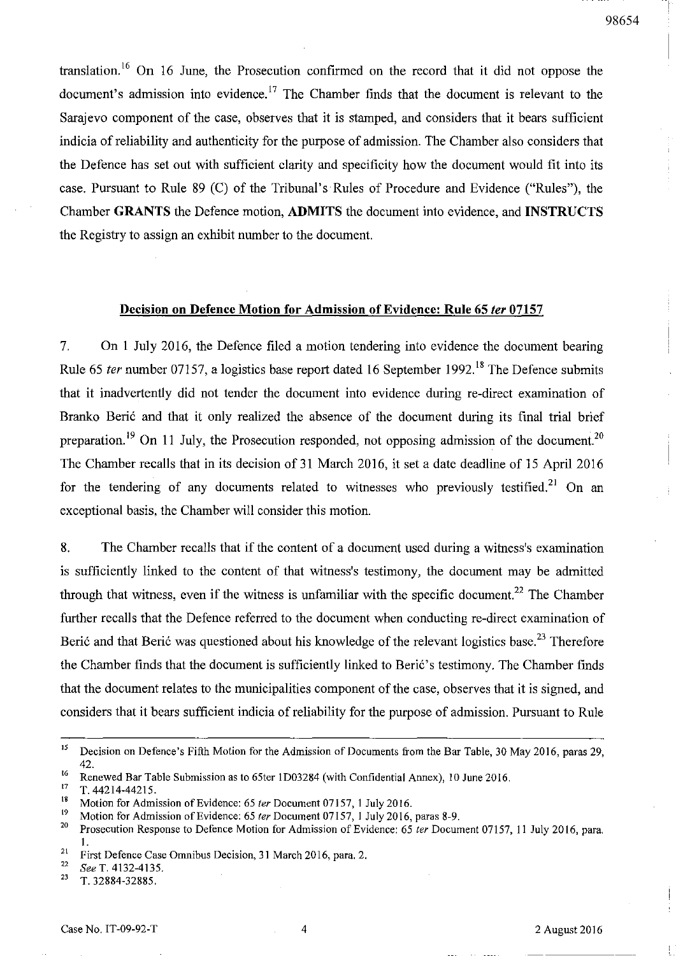translation.<sup>16</sup> On 16 June, the Prosecution confirmed on the record that it did not oppose the document's admission into evidence.<sup>17</sup> The Chamber finds that the document is relevant to the Sarajevo component of the case, observes that it is stamped, and considers that it bears sufficient indicia of reliability and authenticity for the purpose of admission. The Chamber also considers that the Defence has set out with sufficient clarity and specificity how the document would fit into its case. Pursuant to Rule 89 (C) of the Tribunal's Rules of Procedure and Evidence ("Rules"), the Chamber GRANTS the Defence motion, ADMITS the document into evidence, and INSTRUCTS the Registry to assign an exhibit number to the document.

### Decision on Defence Motion for Admission of Evidence: Rule 65 *ler 07157*

7. On 1 July 2016, the Defence filed a motion tendering into evidence the document bearing Rule 65 *ter* number 07157, a logistics base report dated 16 September 1992.<sup>18</sup> The Defence submits that it inadvertently did not tender the document into evidence during re-direct examination of Branko Berić and that it only realized the absence of the document during its final trial brief preparation.<sup>19</sup> On 11 July, the Prosecution responded, not opposing admission of the document.<sup>20</sup> The Chamber recalls that in its decision of 31 March 2016, it set a date deadline of 15 April 2016 for the tendering of any documents related to witnesses who previously testified.<sup>21</sup> On an exceptional basis, the Chamber will consider this motion.

8. The Chamber recalls that if the content of a document used during a witness's examination is sufficiently linked to the content of that witness's testimony, the document may be admitted through that witness, even if the witness is unfamiliar with the specific document.<sup>22</sup> The Chamber further recalls that the Defence referred to the document when conducting re-direct examination of Berić and that Berić was questioned about his knowledge of the relevant logistics base.<sup>23</sup> Therefore the Chamber finds that the document is sufficiently linked to Beri6's testimony. The Chamber finds that the document relates to the municipalities component of the case, observes that it is signed, and considers that it bears sufficient indicia of reliability for the purpose of admission. Pursuant to Rule

<sup>&</sup>lt;sup>15</sup> Decision on Defence's Fifth Motion for the Admission of Documents from the Bar Table, 30 May 2016, paras 29, 42.

<sup>&</sup>lt;sup>16</sup> Renewed Bar Table Submission as to 65ter 1D03284 (with Confidential Annex), 10 June 2016.<br><sup>17</sup> T 4421444215

 $^{17}$  T. 44214-44215.

<sup>&</sup>lt;sup>18</sup> Motion for Admission of Evidence: 65 *ter* Document 07157, 1 July 2016.

<sup>&</sup>lt;sup>19</sup> Motion for Admission of Evidence: 65 *ter* Document 07157, 1 July 2016, paras 8-9.<br><sup>20</sup> Programme Begrapes to Dofones Motion for Admission of Evidence: 65 ter Docum

<sup>20</sup> Prosecution Response to Defence Motion for Admission of Evidence: 65 fer Document 07157, II July 2016, para. 1.

<sup>&</sup>lt;sup>21</sup> First Defence Case Omnibus Decision, 31 March 2016, para. 2.<br><sup>22</sup>  $G_1$   $T_2$  4122 4125

<sup>&</sup>lt;sup>22</sup> See T. 4132-4135.<br><sup>23</sup> T. 22884.22885.

<sup>23</sup> T.32884-32885.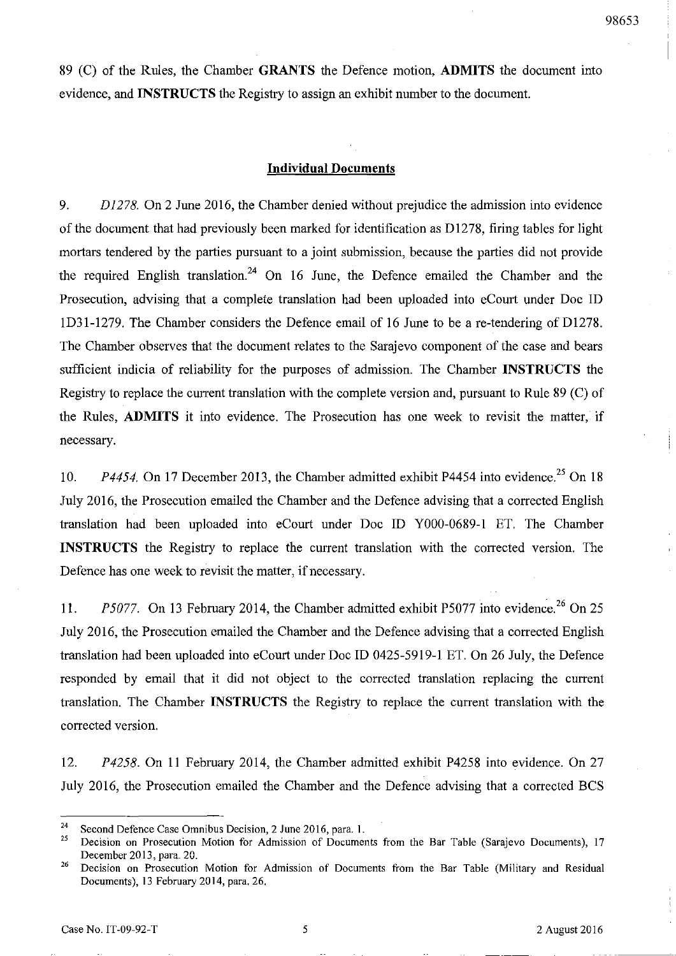89 (C) of the Rules, the Chamber **GRANTS** the Defence motion, **ADMITS** the document into evidence, and **INSTRUCTS** the Registry to assign an exhibit number to the document.

### **Individual Documents**

*9. D1278.* On 2 June 2016, the Chamber denied without prejudice the admission into evidence of the document that had previously been marked for identification as 01278, firing tables for light mortars tendered by the parties pursuant to a joint submission, because the parties did not provide the required English translation.<sup>24</sup> On 16 June, the Defence emailed the Chamber and the Prosecution, advising that a complete translation had been uploaded into eCourt under Doc ID ID31-1279. The Chamber considers the Defence email of 16 June to be a re-tendering of 01278. The Chamber observes that the document relates to the Sarajevo component of the case and bears sufficient indicia of reliability for the purposes of admission. The Chamber **INSTRUCTS** the Registry to replace the current translation with the complete version and, pursuant to Rule 89 (C) of the Rules, **ADMITS** it into evidence. The Prosecution has one week to revisit the matter, if necessary.

10. *P4454.* On 17 December 2013, the Chamber admitted exhibit P4454 into evidence.<sup>25</sup> On 18 July 2016, the Prosecution emailed the Chamber and the Defence advising that a corrected English translation had been uploaded into eCourt under Doc ID YOOO-0689-1 ET. The Chamber **INSTRUCTS** the Registry to replace the current translation with the corrected version. The Defence has one week to revisit the matter, if necessary.

11. *P5077.* On 13 February 2014, the Chamber admitted exhibit P5077 into evidence.<sup>26</sup> On 25 July 2016, the Prosecution emailed the Chamber and the Defence advising that a corrected English translation had been uploaded into eCourt under Doc ID 0425-5919-1 ET. On 26 July, the Defence responded by email that it did not object to the corrected translation replacing the current translation. The Chamber **INSTRUCTS** the Registry to replace the current translation with the corrected version.

*12. P4258.* On 11 February 2014, the Chamber admitted exhibit P4258 into evidence. On 27 July 2016, the Prosecution emailed the Chamber and the Defence advising that a corrected BCS

<sup>&</sup>lt;sup>24</sup> Second Defence Case Omnibus Decision, 2 June 2016, para. 1.<br><sup>25</sup> Decision on Prosecution Motion for Admission of Documen

<sup>25</sup> Decision on Prosecution Motion for Admission of Documents from the Bar Table (Sarajevo Documents), 17 December 2013, para. 20.

<sup>&</sup>lt;sup>26</sup> Decision on Prosecution Motion for Admission of Documents from the Bar Table (Military and Residual Documents), 13 February 2014, para. 26.